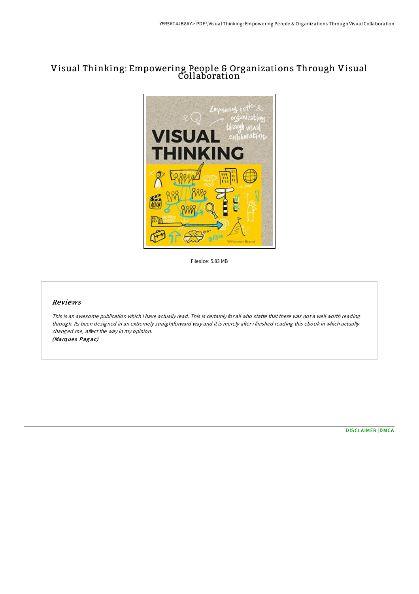# Visual Thinking: Empowering People & Organizations Through Visual Collaboration



Filesize: 5.83 MB

#### Reviews

This is an awesome publication which i have actually read. This is certainly for all who statte that there was not <sup>a</sup> well worth reading through. Its been designed in an extremely straightforward way and it is merely after i finished reading this ebook in which actually changed me, affect the way in my opinion.

(Marques Pagac)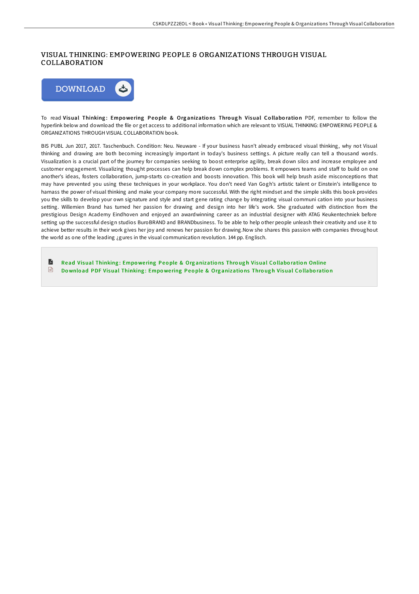## VISUAL THINKING: EMPOWERING PEOPLE & ORGANIZATIONS THROUGH VISUAL COLLABORATION



To read Visual Thinking: Empowering People & Organizations Through Visual Collaboration PDF, remember to follow the hyperlink below and download the file or get access to additional information which are relevant to VISUAL THINKING: EMPOWERING PEOPLE & ORGANIZATIONS THROUGH VISUAL COLLABORATION book.

BIS PUBL Jun 2017, 2017. Taschenbuch. Condition: Neu. Neuware - If your business hasn't already embraced visual thinking, why not Visual thinking and drawing are both becoming increasingly important in today's business settings. A picture really can tell a thousand words. Visualization is a crucial part of the journey for companies seeking to boost enterprise agility, break down silos and increase employee and customer engagement. Visualizing thought processes can help break down complex problems. It empowers teams and staff to build on one another's ideas, fosters collaboration, jump-starts co-creation and boosts innovation. This book will help brush aside misconceptions that may have prevented you using these techniques in your workplace. You don't need Van Gogh's artistic talent or Einstein's intelligence to harnass the power of visual thinking and make your company more successful. With the right mindset and the simple skills this book provides you the skills to develop your own signature and style and start gene rating change by integrating visual communi cation into your business setting. Willemien Brand has turned her passion for drawing and design into her life's work. She graduated with distinction from the prestigious Design Academy Eindhoven and enjoyed an awardwinning career as an industrial designer with ATAG Keukentechniek before setting up the successful design studios BuroBRAND and BRANDbusiness. To be able to help other people unleash their creativity and use it to achieve better results in their work gives her joy and renews her passion for drawing.Now she shares this passion with companies throughout the world as one of the leading ¿gures in the visual communication revolution. 144 pp. Englisch.

**R** Read Visual [Thinking](http://almighty24.tech/visual-thinking-empowering-people-amp-organizati.html): Empowering People & Organizations Through Visual Collaboration Online  $\begin{tabular}{|c|c|} \hline \quad m \\ \hline \end{tabular}$ Download PDF Visual [Thinking](http://almighty24.tech/visual-thinking-empowering-people-amp-organizati.html): Empowering People & Organizations Through Visual Collaboration